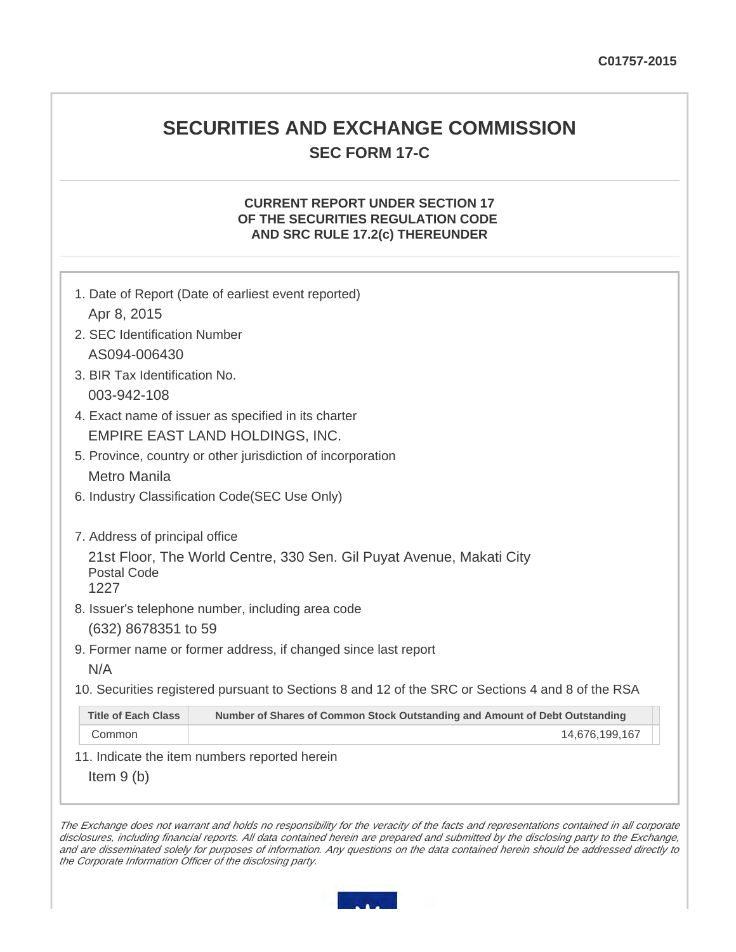# **SECURITIES AND EXCHANGE COMMISSION SEC FORM 17-C**

## **CURRENT REPORT UNDER SECTION 17 OF THE SECURITIES REGULATION CODE AND SRC RULE 17.2(c) THEREUNDER**

| 1. Date of Report (Date of earliest event reported)<br>Apr 8, 2015                                        |
|-----------------------------------------------------------------------------------------------------------|
| 2. SEC Identification Number                                                                              |
| AS094-006430                                                                                              |
| 3. BIR Tax Identification No.                                                                             |
| 003-942-108                                                                                               |
| 4. Exact name of issuer as specified in its charter                                                       |
| EMPIRE EAST LAND HOLDINGS, INC.                                                                           |
| 5. Province, country or other jurisdiction of incorporation                                               |
| Metro Manila                                                                                              |
| 6. Industry Classification Code (SEC Use Only)                                                            |
| 7. Address of principal office                                                                            |
| 21st Floor, The World Centre, 330 Sen. Gil Puyat Avenue, Makati City<br>Postal Code<br>1227               |
| 8. Issuer's telephone number, including area code                                                         |
| (632) 8678351 to 59                                                                                       |
| 9. Former name or former address, if changed since last report                                            |
| N/A                                                                                                       |
| 10. Securities registered pursuant to Sections 8 and 12 of the SRC or Sections 4 and 8 of the RSA         |
| <b>Title of Each Class</b><br>Number of Shares of Common Stock Outstanding and Amount of Debt Outstanding |
| Common<br>14,676,199,167                                                                                  |

11. Indicate the item numbers reported herein

Item 9 (b)

The Exchange does not warrant and holds no responsibility for the veracity of the facts and representations contained in all corporate disclosures, including financial reports. All data contained herein are prepared and submitted by the disclosing party to the Exchange, and are disseminated solely for purposes of information. Any questions on the data contained herein should be addressed directly to the Corporate Information Officer of the disclosing party.

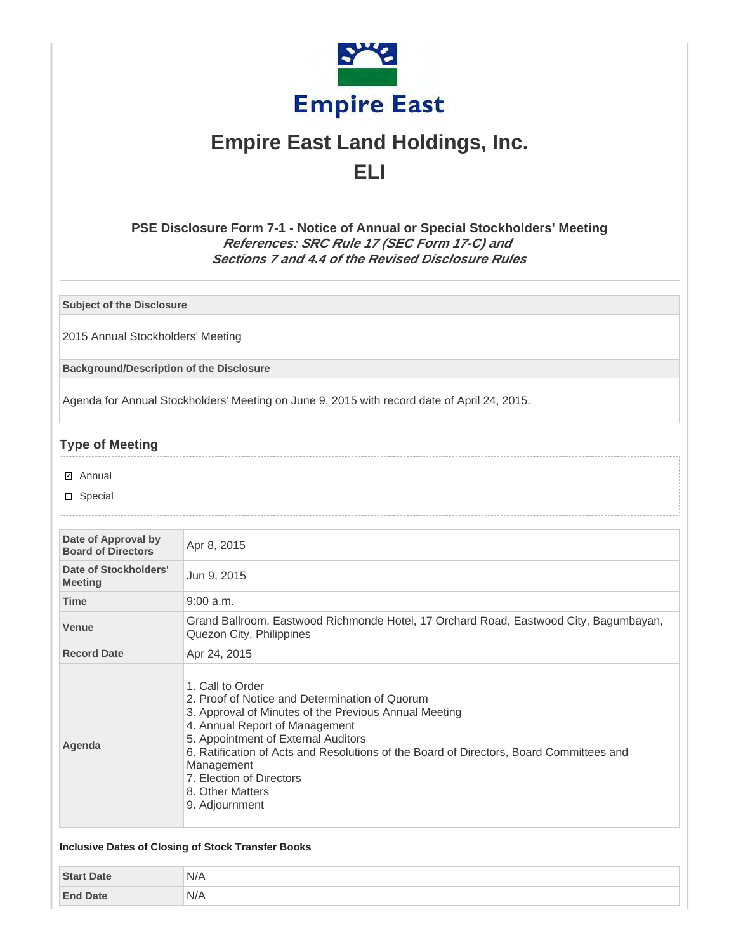

# **Empire East Land Holdings, Inc. ELI**

# **PSE Disclosure Form 7-1 - Notice of Annual or Special Stockholders' Meeting References: SRC Rule 17 (SEC Form 17-C) and Sections 7 and 4.4 of the Revised Disclosure Rules**

**Subject of the Disclosure**

2015 Annual Stockholders' Meeting

**Background/Description of the Disclosure**

Agenda for Annual Stockholders' Meeting on June 9, 2015 with record date of April 24, 2015.

# **Type of Meeting**

- **☑** Annual
- □ Special

| Date of Approval by<br><b>Board of Directors</b> | Apr 8, 2015                                                                                                                                                                                                                                                                                                                                                                     |
|--------------------------------------------------|---------------------------------------------------------------------------------------------------------------------------------------------------------------------------------------------------------------------------------------------------------------------------------------------------------------------------------------------------------------------------------|
| Date of Stockholders'<br><b>Meeting</b>          | Jun 9, 2015                                                                                                                                                                                                                                                                                                                                                                     |
| <b>Time</b>                                      | $9:00$ a.m.                                                                                                                                                                                                                                                                                                                                                                     |
| <b>Venue</b>                                     | Grand Ballroom, Eastwood Richmonde Hotel, 17 Orchard Road, Eastwood City, Bagumbayan,<br>Quezon City, Philippines                                                                                                                                                                                                                                                               |
| <b>Record Date</b>                               | Apr 24, 2015                                                                                                                                                                                                                                                                                                                                                                    |
| Agenda                                           | 1. Call to Order<br>2. Proof of Notice and Determination of Quorum<br>3. Approval of Minutes of the Previous Annual Meeting<br>4. Annual Report of Management<br>5. Appointment of External Auditors<br>6. Ratification of Acts and Resolutions of the Board of Directors, Board Committees and<br>Management<br>7. Election of Directors<br>8. Other Matters<br>9. Adjournment |

|                   | Inclusive Dates of Closing of Stock Transfer Books |
|-------------------|----------------------------------------------------|
| <b>Start Date</b> | N/A                                                |
| <b>End Date</b>   | N/A                                                |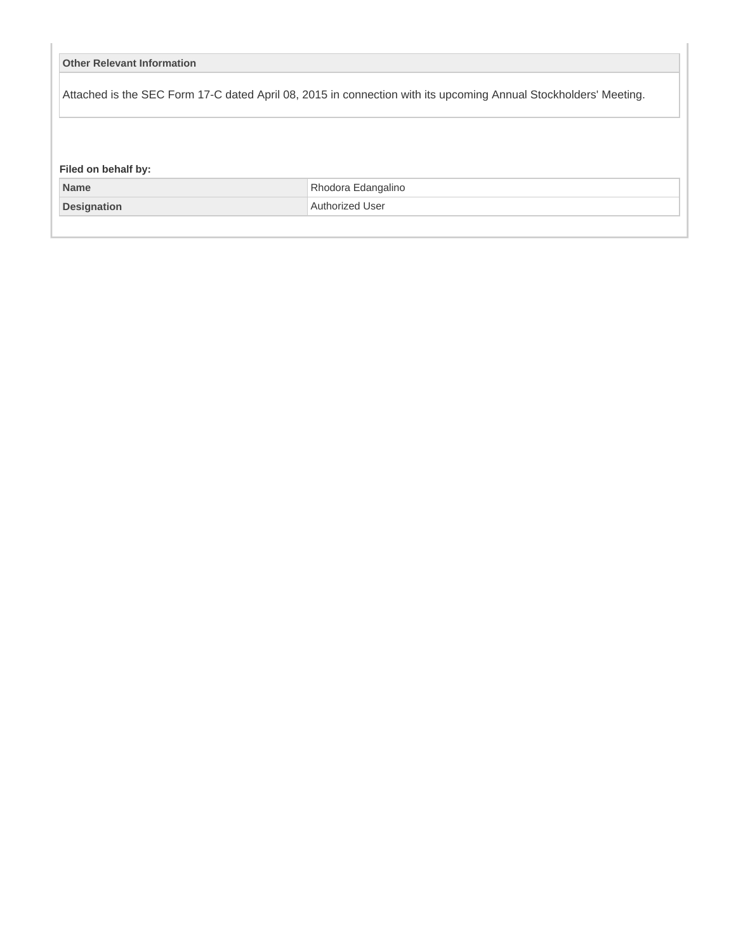| <b>Other Relevant Information</b>  |                                                                                                                  |
|------------------------------------|------------------------------------------------------------------------------------------------------------------|
|                                    | Attached is the SEC Form 17-C dated April 08, 2015 in connection with its upcoming Annual Stockholders' Meeting. |
|                                    |                                                                                                                  |
|                                    |                                                                                                                  |
|                                    |                                                                                                                  |
| Filed on behalf by:<br><b>Name</b> | Rhodora Edangalino                                                                                               |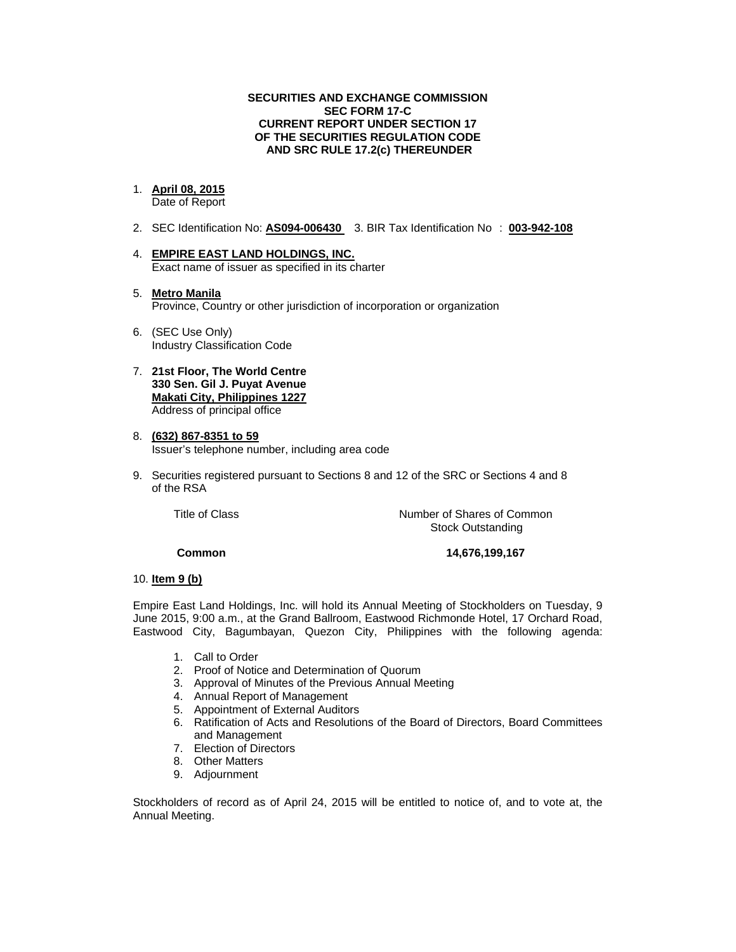### **SECURITIES AND EXCHANGE COMMISSION SEC FORM 17-C CURRENT REPORT UNDER SECTION 17 OF THE SECURITIES REGULATION CODE AND SRC RULE 17.2(c) THEREUNDER**

## 1. **April 08, 2015**

Date of Report

- 2. SEC Identification No: **AS094-006430** 3. BIR Tax Identification No : **003-942-108**
- 4. **EMPIRE EAST LAND HOLDINGS, INC.**  Exact name of issuer as specified in its charter
- 5. **Metro Manila**  Province, Country or other jurisdiction of incorporation or organization
- 6. (SEC Use Only) Industry Classification Code
- 7. **21st Floor, The World Centre 330 Sen. Gil J. Puyat Avenue Makati City, Philippines 1227** Address of principal office
- 8. **(632) 867-8351 to 59**  Issuer's telephone number, including area code
- 9. Securities registered pursuant to Sections 8 and 12 of the SRC or Sections 4 and 8 of the RSA

 Title of ClassNumber of Shares of Common Stock Outstanding

### **Common 14,676,199,167**

### 10. **Item 9 (b)**

Empire East Land Holdings, Inc. will hold its Annual Meeting of Stockholders on Tuesday, 9 June 2015, 9:00 a.m., at the Grand Ballroom, Eastwood Richmonde Hotel, 17 Orchard Road, Eastwood City, Bagumbayan, Quezon City, Philippines with the following agenda:

- 1. Call to Order
- 2. Proof of Notice and Determination of Quorum
- 3. Approval of Minutes of the Previous Annual Meeting
- 4. Annual Report of Management
- 5. Appointment of External Auditors
- 6. Ratification of Acts and Resolutions of the Board of Directors, Board Committees and Management
- 7. Election of Directors
- 8. Other Matters
- 9. Adjournment

Stockholders of record as of April 24, 2015 will be entitled to notice of, and to vote at, the Annual Meeting.